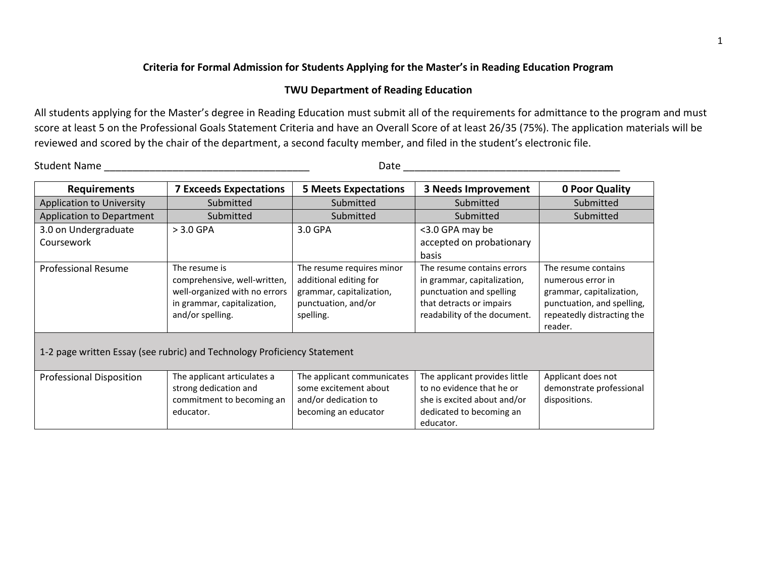## **Criteria for Formal Admission for Students Applying for the Master's in Reading Education Program**

## **TWU Department of Reading Education**

All students applying for the Master's degree in Reading Education must submit all of the requirements for admittance to the program and must score at least 5 on the Professional Goals Statement Criteria and have an Overall Score of at least 26/35 (75%). The application materials will be reviewed and scored by the chair of the department, a second faculty member, and filed in the student's electronic file.

Student Name \_\_\_\_\_\_\_\_\_\_\_\_\_\_\_\_\_\_\_\_\_\_\_\_\_\_\_\_\_\_\_\_\_\_\_\_ Date \_\_\_\_\_\_\_\_\_\_\_\_\_\_\_\_\_\_\_\_\_\_\_\_\_\_\_\_\_\_\_\_\_\_\_\_\_\_

| <b>Requirements</b>                                                      | <b>7 Exceeds Expectations</b> | <b>5 Meets Expectations</b> | <b>3 Needs Improvement</b>    | 0 Poor Quality             |  |  |  |
|--------------------------------------------------------------------------|-------------------------------|-----------------------------|-------------------------------|----------------------------|--|--|--|
| <b>Application to University</b>                                         | Submitted                     | Submitted                   | Submitted                     | Submitted                  |  |  |  |
| Application to Department                                                | Submitted                     | Submitted                   | Submitted                     | Submitted                  |  |  |  |
| 3.0 on Undergraduate                                                     | $> 3.0$ GPA                   | 3.0 GPA                     | <3.0 GPA may be               |                            |  |  |  |
| Coursework                                                               |                               |                             | accepted on probationary      |                            |  |  |  |
|                                                                          |                               |                             | basis                         |                            |  |  |  |
| <b>Professional Resume</b>                                               | The resume is                 | The resume requires minor   | The resume contains errors    | The resume contains        |  |  |  |
|                                                                          | comprehensive, well-written,  | additional editing for      | in grammar, capitalization,   | numerous error in          |  |  |  |
|                                                                          | well-organized with no errors | grammar, capitalization,    | punctuation and spelling      | grammar, capitalization,   |  |  |  |
|                                                                          | in grammar, capitalization,   | punctuation, and/or         | that detracts or impairs      | punctuation, and spelling, |  |  |  |
|                                                                          | and/or spelling.              | spelling.                   | readability of the document.  | repeatedly distracting the |  |  |  |
|                                                                          |                               |                             |                               | reader.                    |  |  |  |
|                                                                          |                               |                             |                               |                            |  |  |  |
| 1-2 page written Essay (see rubric) and Technology Proficiency Statement |                               |                             |                               |                            |  |  |  |
|                                                                          |                               |                             |                               |                            |  |  |  |
| <b>Professional Disposition</b>                                          | The applicant articulates a   | The applicant communicates  | The applicant provides little | Applicant does not         |  |  |  |
|                                                                          | strong dedication and         | some excitement about       | to no evidence that he or     | demonstrate professional   |  |  |  |
|                                                                          | commitment to becoming an     | and/or dedication to        | she is excited about and/or   | dispositions.              |  |  |  |
|                                                                          | educator.                     | becoming an educator        | dedicated to becoming an      |                            |  |  |  |
|                                                                          |                               |                             | educator.                     |                            |  |  |  |